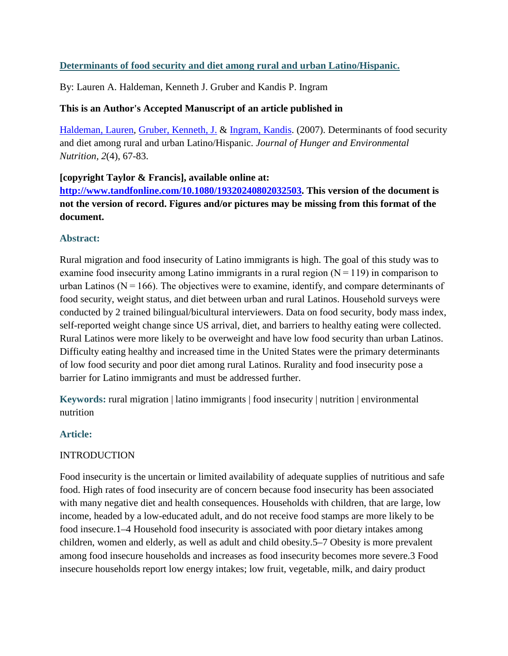## **Determinants of food security and diet among rural and urban Latino/Hispanic.**

By: Lauren A. Haldeman, Kenneth J. Gruber and Kandis P. Ingram

### **This is an Author's Accepted Manuscript of an article published in**

[Haldeman, Lauren,](http://libres.uncg.edu/ir/uncg/clist.aspx?id=1372) [Gruber, Kenneth, J.](http://libres.uncg.edu/ir/uncg/clist.aspx?id=1218) & [Ingram, Kandis.](http://libres.uncg.edu/ir/uncg/clist.aspx?id=3885) (2007). Determinants of food security and diet among rural and urban Latino/Hispanic. *Journal of Hunger and Environmental Nutrition, 2*(4), 67-83.

### **[copyright Taylor & Francis], available online at:**

**[http://www.tandfonline.com/10.1080/19320240802032503.](http://www.tandfonline.com/10.1080/19320240802032503) This version of the document is not the version of record. Figures and/or pictures may be missing from this format of the document.**

## **Abstract:**

Rural migration and food insecurity of Latino immigrants is high. The goal of this study was to examine food insecurity among Latino immigrants in a rural region  $(N = 119)$  in comparison to urban Latinos ( $N = 166$ ). The objectives were to examine, identify, and compare determinants of food security, weight status, and diet between urban and rural Latinos. Household surveys were conducted by 2 trained bilingual/bicultural interviewers. Data on food security, body mass index, self-reported weight change since US arrival, diet, and barriers to healthy eating were collected. Rural Latinos were more likely to be overweight and have low food security than urban Latinos. Difficulty eating healthy and increased time in the United States were the primary determinants of low food security and poor diet among rural Latinos. Rurality and food insecurity pose a barrier for Latino immigrants and must be addressed further.

**Keywords:** rural migration | latino immigrants | food insecurity | nutrition | environmental nutrition

# **Article:**

# **INTRODUCTION**

Food insecurity is the uncertain or limited availability of adequate supplies of nutritious and safe food. High rates of food insecurity are of concern because food insecurity has been associated with many negative diet and health consequences. Households with children, that are large, low income, headed by a low-educated adult, and do not receive food stamps are more likely to be food insecure.1–4 Household food insecurity is associated with poor dietary intakes among children, women and elderly, as well as adult and child obesity.5–7 Obesity is more prevalent among food insecure households and increases as food insecurity becomes more severe.3 Food insecure households report low energy intakes; low fruit, vegetable, milk, and dairy product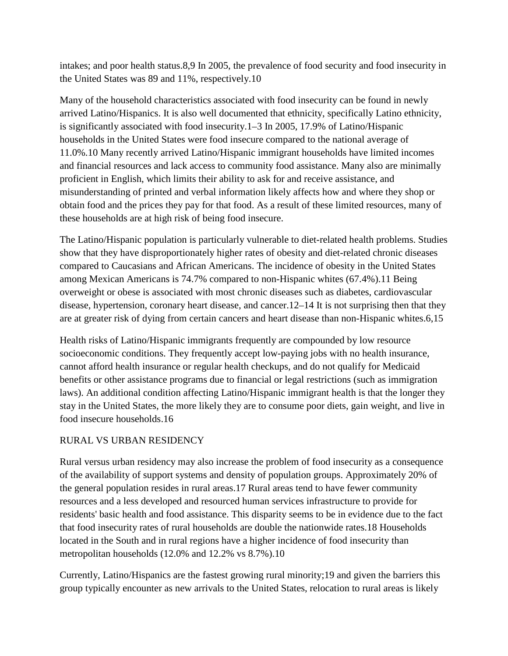intakes; and poor health status.8,9 In 2005, the prevalence of food security and food insecurity in the United States was 89 and 11%, respectively.10

Many of the household characteristics associated with food insecurity can be found in newly arrived Latino/Hispanics. It is also well documented that ethnicity, specifically Latino ethnicity, is significantly associated with food insecurity.1–3 In 2005, 17.9% of Latino/Hispanic households in the United States were food insecure compared to the national average of 11.0%.10 Many recently arrived Latino/Hispanic immigrant households have limited incomes and financial resources and lack access to community food assistance. Many also are minimally proficient in English, which limits their ability to ask for and receive assistance, and misunderstanding of printed and verbal information likely affects how and where they shop or obtain food and the prices they pay for that food. As a result of these limited resources, many of these households are at high risk of being food insecure.

The Latino/Hispanic population is particularly vulnerable to diet-related health problems. Studies show that they have disproportionately higher rates of obesity and diet-related chronic diseases compared to Caucasians and African Americans. The incidence of obesity in the United States among Mexican Americans is 74.7% compared to non-Hispanic whites (67.4%).11 Being overweight or obese is associated with most chronic diseases such as diabetes, cardiovascular disease, hypertension, coronary heart disease, and cancer.12–14 It is not surprising then that they are at greater risk of dying from certain cancers and heart disease than non-Hispanic whites.6,15

Health risks of Latino/Hispanic immigrants frequently are compounded by low resource socioeconomic conditions. They frequently accept low-paying jobs with no health insurance, cannot afford health insurance or regular health checkups, and do not qualify for Medicaid benefits or other assistance programs due to financial or legal restrictions (such as immigration laws). An additional condition affecting Latino/Hispanic immigrant health is that the longer they stay in the United States, the more likely they are to consume poor diets, gain weight, and live in food insecure households.16

# RURAL VS URBAN RESIDENCY

Rural versus urban residency may also increase the problem of food insecurity as a consequence of the availability of support systems and density of population groups. Approximately 20% of the general population resides in rural areas.17 Rural areas tend to have fewer community resources and a less developed and resourced human services infrastructure to provide for residents' basic health and food assistance. This disparity seems to be in evidence due to the fact that food insecurity rates of rural households are double the nationwide rates.18 Households located in the South and in rural regions have a higher incidence of food insecurity than metropolitan households (12.0% and 12.2% vs 8.7%).10

Currently, Latino/Hispanics are the fastest growing rural minority;19 and given the barriers this group typically encounter as new arrivals to the United States, relocation to rural areas is likely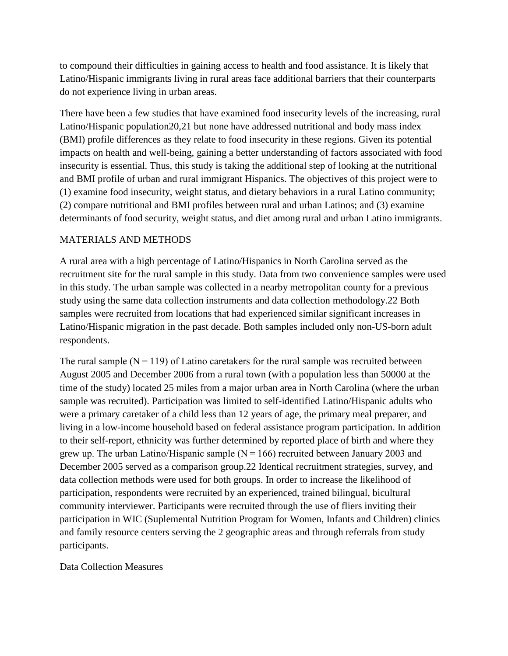to compound their difficulties in gaining access to health and food assistance. It is likely that Latino/Hispanic immigrants living in rural areas face additional barriers that their counterparts do not experience living in urban areas.

There have been a few studies that have examined food insecurity levels of the increasing, rural Latino/Hispanic population20,21 but none have addressed nutritional and body mass index (BMI) profile differences as they relate to food insecurity in these regions. Given its potential impacts on health and well-being, gaining a better understanding of factors associated with food insecurity is essential. Thus, this study is taking the additional step of looking at the nutritional and BMI profile of urban and rural immigrant Hispanics. The objectives of this project were to (1) examine food insecurity, weight status, and dietary behaviors in a rural Latino community; (2) compare nutritional and BMI profiles between rural and urban Latinos; and (3) examine determinants of food security, weight status, and diet among rural and urban Latino immigrants.

#### MATERIALS AND METHODS

A rural area with a high percentage of Latino/Hispanics in North Carolina served as the recruitment site for the rural sample in this study. Data from two convenience samples were used in this study. The urban sample was collected in a nearby metropolitan county for a previous study using the same data collection instruments and data collection methodology.22 Both samples were recruited from locations that had experienced similar significant increases in Latino/Hispanic migration in the past decade. Both samples included only non-US-born adult respondents.

The rural sample  $(N = 119)$  of Latino caretakers for the rural sample was recruited between August 2005 and December 2006 from a rural town (with a population less than 50000 at the time of the study) located 25 miles from a major urban area in North Carolina (where the urban sample was recruited). Participation was limited to self-identified Latino/Hispanic adults who were a primary caretaker of a child less than 12 years of age, the primary meal preparer, and living in a low-income household based on federal assistance program participation. In addition to their self-report, ethnicity was further determined by reported place of birth and where they grew up. The urban Latino/Hispanic sample ( $N = 166$ ) recruited between January 2003 and December 2005 served as a comparison group.22 Identical recruitment strategies, survey, and data collection methods were used for both groups. In order to increase the likelihood of participation, respondents were recruited by an experienced, trained bilingual, bicultural community interviewer. Participants were recruited through the use of fliers inviting their participation in WIC (Suplemental Nutrition Program for Women, Infants and Children) clinics and family resource centers serving the 2 geographic areas and through referrals from study participants.

Data Collection Measures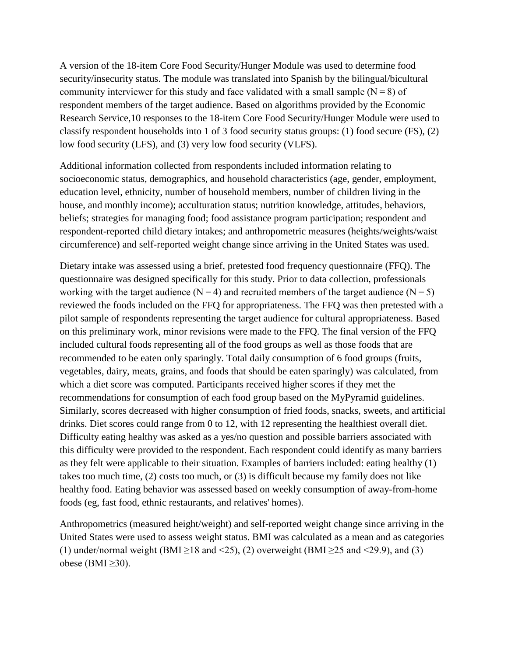A version of the 18-item Core Food Security/Hunger Module was used to determine food security/insecurity status. The module was translated into Spanish by the bilingual/bicultural community interviewer for this study and face validated with a small sample  $(N=8)$  of respondent members of the target audience. Based on algorithms provided by the Economic Research Service,10 responses to the 18-item Core Food Security/Hunger Module were used to classify respondent households into 1 of 3 food security status groups: (1) food secure (FS), (2) low food security (LFS), and (3) very low food security (VLFS).

Additional information collected from respondents included information relating to socioeconomic status, demographics, and household characteristics (age, gender, employment, education level, ethnicity, number of household members, number of children living in the house, and monthly income); acculturation status; nutrition knowledge, attitudes, behaviors, beliefs; strategies for managing food; food assistance program participation; respondent and respondent-reported child dietary intakes; and anthropometric measures (heights/weights/waist circumference) and self-reported weight change since arriving in the United States was used.

Dietary intake was assessed using a brief, pretested food frequency questionnaire (FFQ). The questionnaire was designed specifically for this study. Prior to data collection, professionals working with the target audience ( $N = 4$ ) and recruited members of the target audience ( $N = 5$ ) reviewed the foods included on the FFQ for appropriateness. The FFQ was then pretested with a pilot sample of respondents representing the target audience for cultural appropriateness. Based on this preliminary work, minor revisions were made to the FFQ. The final version of the FFQ included cultural foods representing all of the food groups as well as those foods that are recommended to be eaten only sparingly. Total daily consumption of 6 food groups (fruits, vegetables, dairy, meats, grains, and foods that should be eaten sparingly) was calculated, from which a diet score was computed. Participants received higher scores if they met the recommendations for consumption of each food group based on the MyPyramid guidelines. Similarly, scores decreased with higher consumption of fried foods, snacks, sweets, and artificial drinks. Diet scores could range from 0 to 12, with 12 representing the healthiest overall diet. Difficulty eating healthy was asked as a yes/no question and possible barriers associated with this difficulty were provided to the respondent. Each respondent could identify as many barriers as they felt were applicable to their situation. Examples of barriers included: eating healthy (1) takes too much time, (2) costs too much, or (3) is difficult because my family does not like healthy food. Eating behavior was assessed based on weekly consumption of away-from-home foods (eg, fast food, ethnic restaurants, and relatives' homes).

Anthropometrics (measured height/weight) and self-reported weight change since arriving in the United States were used to assess weight status. BMI was calculated as a mean and as categories (1) under/normal weight (BMI  $\geq$ 18 and <25), (2) overweight (BMI  $\geq$ 25 and <29.9), and (3) obese (BMI $>30$ ).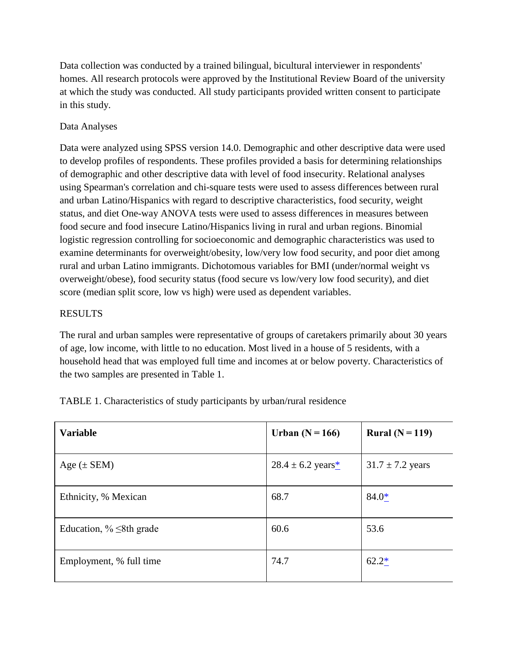Data collection was conducted by a trained bilingual, bicultural interviewer in respondents' homes. All research protocols were approved by the Institutional Review Board of the university at which the study was conducted. All study participants provided written consent to participate in this study.

### Data Analyses

Data were analyzed using SPSS version 14.0. Demographic and other descriptive data were used to develop profiles of respondents. These profiles provided a basis for determining relationships of demographic and other descriptive data with level of food insecurity. Relational analyses using Spearman's correlation and chi-square tests were used to assess differences between rural and urban Latino/Hispanics with regard to descriptive characteristics, food security, weight status, and diet One-way ANOVA tests were used to assess differences in measures between food secure and food insecure Latino/Hispanics living in rural and urban regions. Binomial logistic regression controlling for socioeconomic and demographic characteristics was used to examine determinants for overweight/obesity, low/very low food security, and poor diet among rural and urban Latino immigrants. Dichotomous variables for BMI (under/normal weight vs overweight/obese), food security status (food secure vs low/very low food security), and diet score (median split score, low vs high) were used as dependent variables.

## RESULTS

The rural and urban samples were representative of groups of caretakers primarily about 30 years of age, low income, with little to no education. Most lived in a house of 5 residents, with a household head that was employed full time and incomes at or below poverty. Characteristics of the two samples are presented in Table 1.

| <b>Variable</b>                 | Urban ( $N = 166$ )               | Rural $(N = 119)$    |
|---------------------------------|-----------------------------------|----------------------|
| Age $(\pm$ SEM)                 | $28.4 \pm 6.2$ years <sup>*</sup> | $31.7 \pm 7.2$ years |
| Ethnicity, % Mexican            | 68.7                              | $84.0*$              |
| Education, $\% \leq 8$ th grade | 60.6                              | 53.6                 |
| Employment, % full time         | 74.7                              | $62.2*$              |

TABLE 1. Characteristics of study participants by urban/rural residence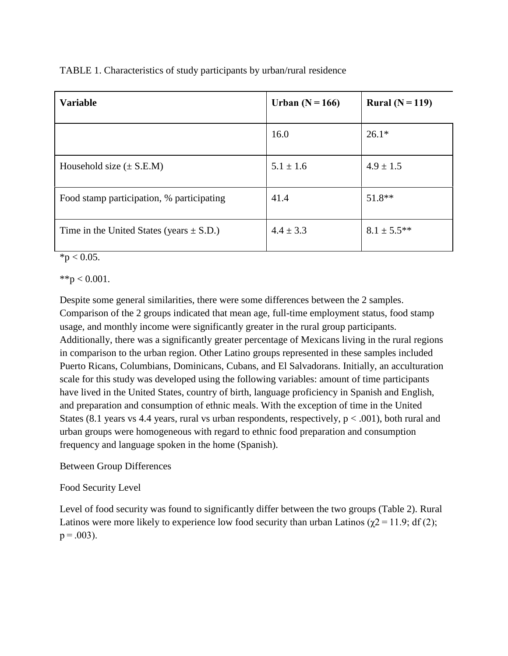| <b>Variable</b>                              | Urban ( $N = 166$ ) | Rural $(N=119)$  |  |  |
|----------------------------------------------|---------------------|------------------|--|--|
|                                              | 16.0                | $26.1*$          |  |  |
| Household size $(\pm$ S.E.M)                 | $5.1 \pm 1.6$       | $4.9 \pm 1.5$    |  |  |
| Food stamp participation, % participating    | 41.4                | $51.8**$         |  |  |
| Time in the United States (years $\pm$ S.D.) | $4.4 \pm 3.3$       | $8.1 \pm 5.5$ ** |  |  |

TABLE 1. Characteristics of study participants by urban/rural residence

 $*$ p < 0.05.

 $**p < 0.001$ .

Despite some general similarities, there were some differences between the 2 samples. Comparison of the 2 groups indicated that mean age, full-time employment status, food stamp usage, and monthly income were significantly greater in the rural group participants. Additionally, there was a significantly greater percentage of Mexicans living in the rural regions in comparison to the urban region. Other Latino groups represented in these samples included Puerto Ricans, Columbians, Dominicans, Cubans, and El Salvadorans. Initially, an acculturation scale for this study was developed using the following variables: amount of time participants have lived in the United States, country of birth, language proficiency in Spanish and English, and preparation and consumption of ethnic meals. With the exception of time in the United States (8.1 years vs 4.4 years, rural vs urban respondents, respectively,  $p < .001$ ), both rural and urban groups were homogeneous with regard to ethnic food preparation and consumption frequency and language spoken in the home (Spanish).

Between Group Differences

Food Security Level

Level of food security was found to significantly differ between the two groups (Table 2). Rural Latinos were more likely to experience low food security than urban Latinos ( $\chi$ 2 = 11.9; df (2);  $p = .003$ ).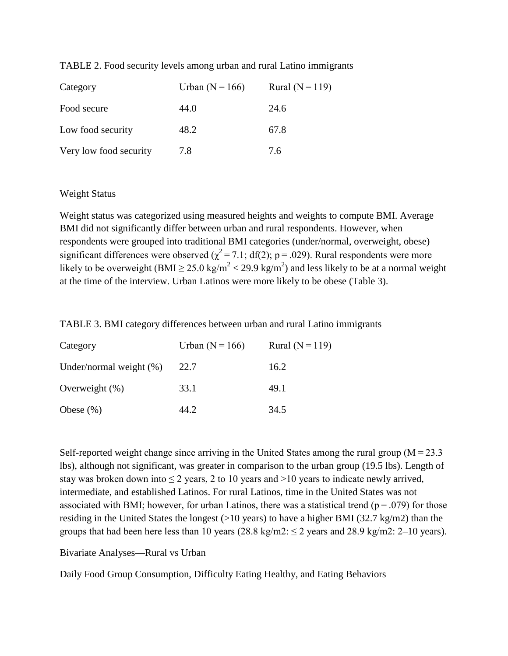TABLE 2. Food security levels among urban and rural Latino immigrants

| Category               | Urban ( $N = 166$ ) | Rural ( $N = 119$ ) |  |  |
|------------------------|---------------------|---------------------|--|--|
| Food secure            | 44.0                | 24.6                |  |  |
| Low food security      | 48.2                | 67.8                |  |  |
| Very low food security | 7.8                 | 7.6                 |  |  |

#### Weight Status

Weight status was categorized using measured heights and weights to compute BMI. Average BMI did not significantly differ between urban and rural respondents. However, when respondents were grouped into traditional BMI categories (under/normal, overweight, obese) significant differences were observed ( $\chi^2$  = 7.1; df(2); p = .029). Rural respondents were more likely to be overweight (BMI  $\geq 25.0 \text{ kg/m}^2 < 29.9 \text{ kg/m}^2$ ) and less likely to be at a normal weight at the time of the interview. Urban Latinos were more likely to be obese (Table 3).

TABLE 3. BMI category differences between urban and rural Latino immigrants

| Category                | Urban ( $N = 166$ ) | Rural ( $N = 119$ ) |  |  |
|-------------------------|---------------------|---------------------|--|--|
| Under/normal weight (%) | 22.7                | 16.2                |  |  |
| Overweight $(\%)$       | 33.1                | 49.1                |  |  |
| Obese $(\%)$            | 44.2.               | 34.5                |  |  |

Self-reported weight change since arriving in the United States among the rural group ( $M = 23.3$ ) lbs), although not significant, was greater in comparison to the urban group (19.5 lbs). Length of stay was broken down into  $\leq 2$  years, 2 to 10 years and  $>10$  years to indicate newly arrived, intermediate, and established Latinos. For rural Latinos, time in the United States was not associated with BMI; however, for urban Latinos, there was a statistical trend ( $p = .079$ ) for those residing in the United States the longest (>10 years) to have a higher BMI (32.7 kg/m2) than the groups that had been here less than 10 years (28.8 kg/m2:  $\leq$  2 years and 28.9 kg/m2: 2–10 years).

### Bivariate Analyses—Rural vs Urban

Daily Food Group Consumption, Difficulty Eating Healthy, and Eating Behaviors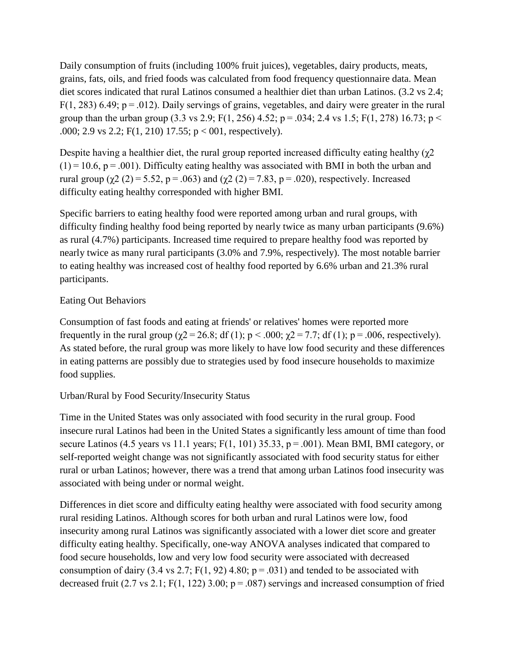Daily consumption of fruits (including 100% fruit juices), vegetables, dairy products, meats, grains, fats, oils, and fried foods was calculated from food frequency questionnaire data. Mean diet scores indicated that rural Latinos consumed a healthier diet than urban Latinos. (3.2 vs 2.4;  $F(1, 283)$  6.49; p = .012). Daily servings of grains, vegetables, and dairy were greater in the rural group than the urban group (3.3 vs 2.9; F(1, 256) 4.52; p = .034; 2.4 vs 1.5; F(1, 278) 16.73; p < .000; 2.9 vs 2.2; F(1, 210) 17.55; p < 001, respectively).

Despite having a healthier diet, the rural group reported increased difficulty eating healthy  $(\gamma 2)$  $(1) = 10.6$ ,  $p = .001$ ). Difficulty eating healthy was associated with BMI in both the urban and rural group (χ2 (2) = 5.52, p = .063) and (χ2 (2) = 7.83, p = .020), respectively. Increased difficulty eating healthy corresponded with higher BMI.

Specific barriers to eating healthy food were reported among urban and rural groups, with difficulty finding healthy food being reported by nearly twice as many urban participants (9.6%) as rural (4.7%) participants. Increased time required to prepare healthy food was reported by nearly twice as many rural participants (3.0% and 7.9%, respectively). The most notable barrier to eating healthy was increased cost of healthy food reported by 6.6% urban and 21.3% rural participants.

## Eating Out Behaviors

Consumption of fast foods and eating at friends' or relatives' homes were reported more frequently in the rural group ( $\chi$ 2 = 26.8; df (1); p < .000;  $\chi$ 2 = 7.7; df (1); p = .006, respectively). As stated before, the rural group was more likely to have low food security and these differences in eating patterns are possibly due to strategies used by food insecure households to maximize food supplies.

### Urban/Rural by Food Security/Insecurity Status

Time in the United States was only associated with food security in the rural group. Food insecure rural Latinos had been in the United States a significantly less amount of time than food secure Latinos (4.5 years vs 11.1 years;  $F(1, 101)$  35.33,  $p = .001$ ). Mean BMI, BMI category, or self-reported weight change was not significantly associated with food security status for either rural or urban Latinos; however, there was a trend that among urban Latinos food insecurity was associated with being under or normal weight.

Differences in diet score and difficulty eating healthy were associated with food security among rural residing Latinos. Although scores for both urban and rural Latinos were low, food insecurity among rural Latinos was significantly associated with a lower diet score and greater difficulty eating healthy. Specifically, one-way ANOVA analyses indicated that compared to food secure households, low and very low food security were associated with decreased consumption of dairy (3.4 vs 2.7; F(1, 92) 4.80;  $p = .031$ ) and tended to be associated with decreased fruit  $(2.7 \text{ vs } 2.1; F(1, 122) 3.00; p = .087)$  servings and increased consumption of fried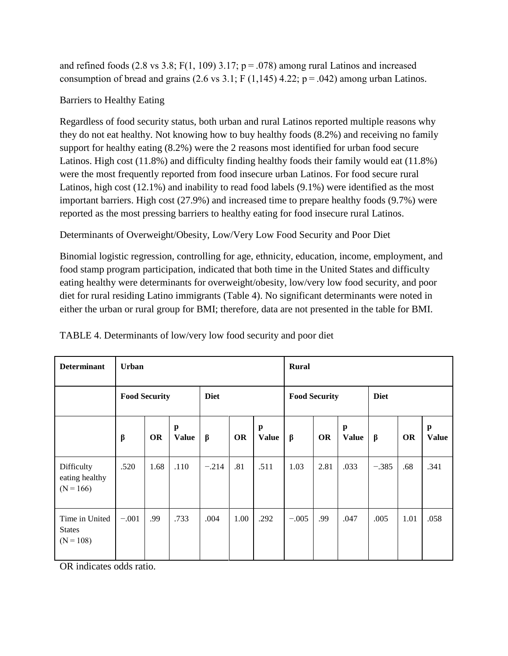and refined foods  $(2.8 \text{ vs } 3.8; F(1, 109) 3.17; p = .078)$  among rural Latinos and increased consumption of bread and grains  $(2.6 \text{ vs } 3.1; \text{ F } (1,145) \, 4.22; \text{ p} = .042)$  among urban Latinos.

# Barriers to Healthy Eating

Regardless of food security status, both urban and rural Latinos reported multiple reasons why they do not eat healthy. Not knowing how to buy healthy foods (8.2%) and receiving no family support for healthy eating (8.2%) were the 2 reasons most identified for urban food secure Latinos. High cost (11.8%) and difficulty finding healthy foods their family would eat (11.8%) were the most frequently reported from food insecure urban Latinos. For food secure rural Latinos, high cost (12.1%) and inability to read food labels (9.1%) were identified as the most important barriers. High cost (27.9%) and increased time to prepare healthy foods (9.7%) were reported as the most pressing barriers to healthy eating for food insecure rural Latinos.

Determinants of Overweight/Obesity, Low/Very Low Food Security and Poor Diet

Binomial logistic regression, controlling for age, ethnicity, education, income, employment, and food stamp program participation, indicated that both time in the United States and difficulty eating healthy were determinants for overweight/obesity, low/very low food security, and poor diet for rural residing Latino immigrants (Table 4). No significant determinants were noted in either the urban or rural group for BMI; therefore, data are not presented in the table for BMI.

| <b>Determinant</b>                             | <b>Urban</b>         |           |                              |             |           |                              | Rural   |             |                              |         |           |                              |
|------------------------------------------------|----------------------|-----------|------------------------------|-------------|-----------|------------------------------|---------|-------------|------------------------------|---------|-----------|------------------------------|
|                                                | <b>Food Security</b> |           |                              | <b>Diet</b> |           | <b>Food Security</b>         |         | <b>Diet</b> |                              |         |           |                              |
|                                                | $\beta$              | <b>OR</b> | $\mathbf{p}$<br><b>Value</b> | $\beta$     | <b>OR</b> | $\mathbf{p}$<br><b>Value</b> | $\beta$ | <b>OR</b>   | $\mathbf{p}$<br><b>Value</b> | β       | <b>OR</b> | $\mathbf{p}$<br><b>Value</b> |
| Difficulty<br>eating healthy<br>$(N = 166)$    | .520                 | 1.68      | .110                         | $-.214$     | .81       | .511                         | 1.03    | 2.81        | .033                         | $-.385$ | .68       | .341                         |
| Time in United<br><b>States</b><br>$(N = 108)$ | $-.001$              | .99       | .733                         | .004        | 1.00      | .292                         | $-.005$ | .99         | .047                         | .005    | 1.01      | .058                         |

TABLE 4. Determinants of low/very low food security and poor diet

OR indicates odds ratio.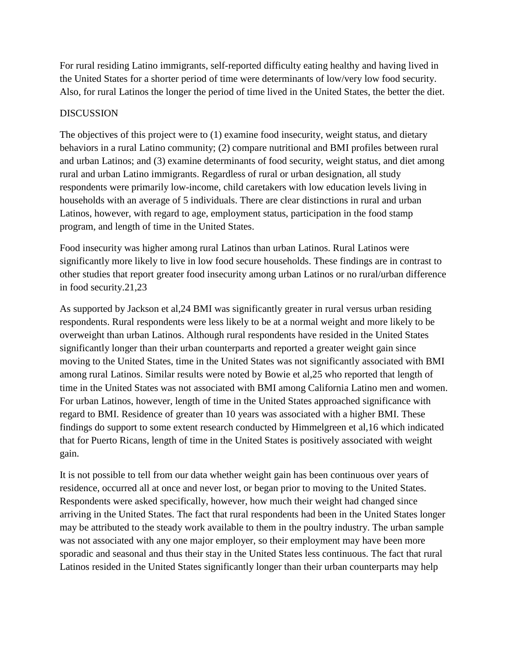For rural residing Latino immigrants, self-reported difficulty eating healthy and having lived in the United States for a shorter period of time were determinants of low/very low food security. Also, for rural Latinos the longer the period of time lived in the United States, the better the diet.

### **DISCUSSION**

The objectives of this project were to (1) examine food insecurity, weight status, and dietary behaviors in a rural Latino community; (2) compare nutritional and BMI profiles between rural and urban Latinos; and (3) examine determinants of food security, weight status, and diet among rural and urban Latino immigrants. Regardless of rural or urban designation, all study respondents were primarily low-income, child caretakers with low education levels living in households with an average of 5 individuals. There are clear distinctions in rural and urban Latinos, however, with regard to age, employment status, participation in the food stamp program, and length of time in the United States.

Food insecurity was higher among rural Latinos than urban Latinos. Rural Latinos were significantly more likely to live in low food secure households. These findings are in contrast to other studies that report greater food insecurity among urban Latinos or no rural/urban difference in food security.21,23

As supported by Jackson et al,24 BMI was significantly greater in rural versus urban residing respondents. Rural respondents were less likely to be at a normal weight and more likely to be overweight than urban Latinos. Although rural respondents have resided in the United States significantly longer than their urban counterparts and reported a greater weight gain since moving to the United States, time in the United States was not significantly associated with BMI among rural Latinos. Similar results were noted by Bowie et al,25 who reported that length of time in the United States was not associated with BMI among California Latino men and women. For urban Latinos, however, length of time in the United States approached significance with regard to BMI. Residence of greater than 10 years was associated with a higher BMI. These findings do support to some extent research conducted by Himmelgreen et al,16 which indicated that for Puerto Ricans, length of time in the United States is positively associated with weight gain.

It is not possible to tell from our data whether weight gain has been continuous over years of residence, occurred all at once and never lost, or began prior to moving to the United States. Respondents were asked specifically, however, how much their weight had changed since arriving in the United States. The fact that rural respondents had been in the United States longer may be attributed to the steady work available to them in the poultry industry. The urban sample was not associated with any one major employer, so their employment may have been more sporadic and seasonal and thus their stay in the United States less continuous. The fact that rural Latinos resided in the United States significantly longer than their urban counterparts may help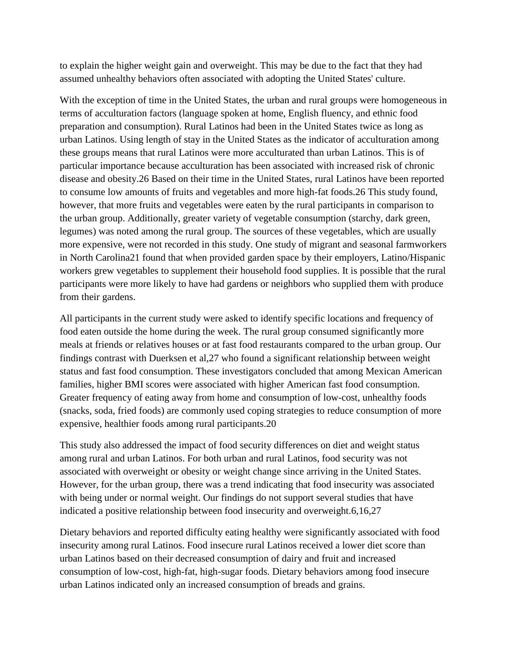to explain the higher weight gain and overweight. This may be due to the fact that they had assumed unhealthy behaviors often associated with adopting the United States' culture.

With the exception of time in the United States, the urban and rural groups were homogeneous in terms of acculturation factors (language spoken at home, English fluency, and ethnic food preparation and consumption). Rural Latinos had been in the United States twice as long as urban Latinos. Using length of stay in the United States as the indicator of acculturation among these groups means that rural Latinos were more acculturated than urban Latinos. This is of particular importance because acculturation has been associated with increased risk of chronic disease and obesity.26 Based on their time in the United States, rural Latinos have been reported to consume low amounts of fruits and vegetables and more high-fat foods.26 This study found, however, that more fruits and vegetables were eaten by the rural participants in comparison to the urban group. Additionally, greater variety of vegetable consumption (starchy, dark green, legumes) was noted among the rural group. The sources of these vegetables, which are usually more expensive, were not recorded in this study. One study of migrant and seasonal farmworkers in North Carolina21 found that when provided garden space by their employers, Latino/Hispanic workers grew vegetables to supplement their household food supplies. It is possible that the rural participants were more likely to have had gardens or neighbors who supplied them with produce from their gardens.

All participants in the current study were asked to identify specific locations and frequency of food eaten outside the home during the week. The rural group consumed significantly more meals at friends or relatives houses or at fast food restaurants compared to the urban group. Our findings contrast with Duerksen et al,27 who found a significant relationship between weight status and fast food consumption. These investigators concluded that among Mexican American families, higher BMI scores were associated with higher American fast food consumption. Greater frequency of eating away from home and consumption of low-cost, unhealthy foods (snacks, soda, fried foods) are commonly used coping strategies to reduce consumption of more expensive, healthier foods among rural participants.20

This study also addressed the impact of food security differences on diet and weight status among rural and urban Latinos. For both urban and rural Latinos, food security was not associated with overweight or obesity or weight change since arriving in the United States. However, for the urban group, there was a trend indicating that food insecurity was associated with being under or normal weight. Our findings do not support several studies that have indicated a positive relationship between food insecurity and overweight.6,16,27

Dietary behaviors and reported difficulty eating healthy were significantly associated with food insecurity among rural Latinos. Food insecure rural Latinos received a lower diet score than urban Latinos based on their decreased consumption of dairy and fruit and increased consumption of low-cost, high-fat, high-sugar foods. Dietary behaviors among food insecure urban Latinos indicated only an increased consumption of breads and grains.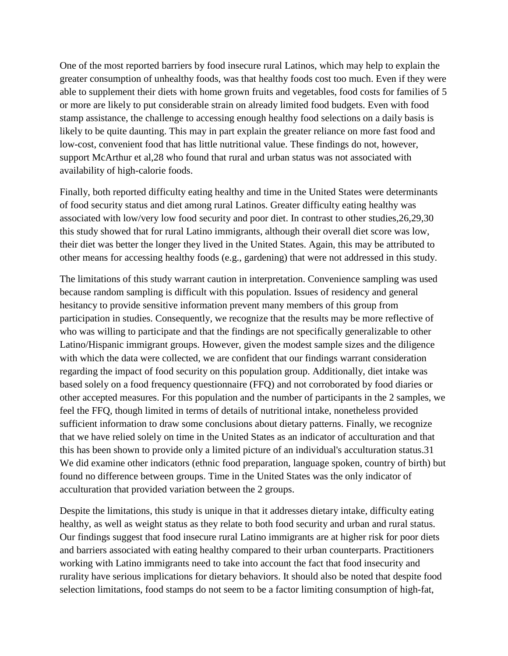One of the most reported barriers by food insecure rural Latinos, which may help to explain the greater consumption of unhealthy foods, was that healthy foods cost too much. Even if they were able to supplement their diets with home grown fruits and vegetables, food costs for families of 5 or more are likely to put considerable strain on already limited food budgets. Even with food stamp assistance, the challenge to accessing enough healthy food selections on a daily basis is likely to be quite daunting. This may in part explain the greater reliance on more fast food and low-cost, convenient food that has little nutritional value. These findings do not, however, support McArthur et al,28 who found that rural and urban status was not associated with availability of high-calorie foods.

Finally, both reported difficulty eating healthy and time in the United States were determinants of food security status and diet among rural Latinos. Greater difficulty eating healthy was associated with low/very low food security and poor diet. In contrast to other studies,26,29,30 this study showed that for rural Latino immigrants, although their overall diet score was low, their diet was better the longer they lived in the United States. Again, this may be attributed to other means for accessing healthy foods (e.g., gardening) that were not addressed in this study.

The limitations of this study warrant caution in interpretation. Convenience sampling was used because random sampling is difficult with this population. Issues of residency and general hesitancy to provide sensitive information prevent many members of this group from participation in studies. Consequently, we recognize that the results may be more reflective of who was willing to participate and that the findings are not specifically generalizable to other Latino/Hispanic immigrant groups. However, given the modest sample sizes and the diligence with which the data were collected, we are confident that our findings warrant consideration regarding the impact of food security on this population group. Additionally, diet intake was based solely on a food frequency questionnaire (FFQ) and not corroborated by food diaries or other accepted measures. For this population and the number of participants in the 2 samples, we feel the FFQ, though limited in terms of details of nutritional intake, nonetheless provided sufficient information to draw some conclusions about dietary patterns. Finally, we recognize that we have relied solely on time in the United States as an indicator of acculturation and that this has been shown to provide only a limited picture of an individual's acculturation status.31 We did examine other indicators (ethnic food preparation, language spoken, country of birth) but found no difference between groups. Time in the United States was the only indicator of acculturation that provided variation between the 2 groups.

Despite the limitations, this study is unique in that it addresses dietary intake, difficulty eating healthy, as well as weight status as they relate to both food security and urban and rural status. Our findings suggest that food insecure rural Latino immigrants are at higher risk for poor diets and barriers associated with eating healthy compared to their urban counterparts. Practitioners working with Latino immigrants need to take into account the fact that food insecurity and rurality have serious implications for dietary behaviors. It should also be noted that despite food selection limitations, food stamps do not seem to be a factor limiting consumption of high-fat,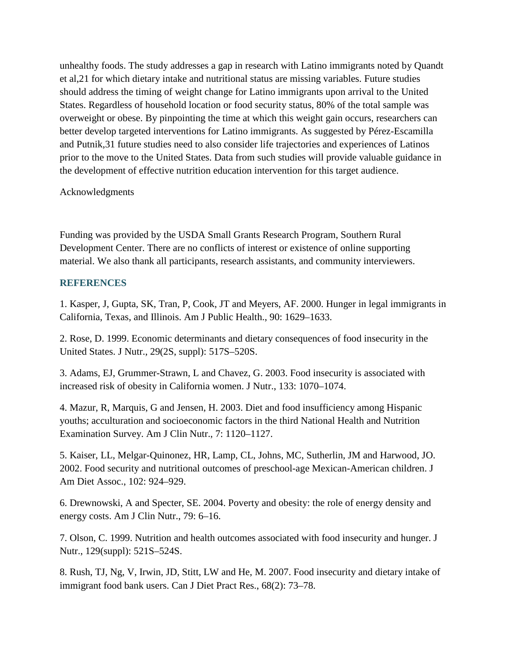unhealthy foods. The study addresses a gap in research with Latino immigrants noted by Quandt et al,21 for which dietary intake and nutritional status are missing variables. Future studies should address the timing of weight change for Latino immigrants upon arrival to the United States. Regardless of household location or food security status, 80% of the total sample was overweight or obese. By pinpointing the time at which this weight gain occurs, researchers can better develop targeted interventions for Latino immigrants. As suggested by Pérez-Escamilla and Putnik,31 future studies need to also consider life trajectories and experiences of Latinos prior to the move to the United States. Data from such studies will provide valuable guidance in the development of effective nutrition education intervention for this target audience.

Acknowledgments

Funding was provided by the USDA Small Grants Research Program, Southern Rural Development Center. There are no conflicts of interest or existence of online supporting material. We also thank all participants, research assistants, and community interviewers.

### **REFERENCES**

1. Kasper, J, Gupta, SK, Tran, P, Cook, JT and Meyers, AF. 2000. Hunger in legal immigrants in California, Texas, and Illinois. Am J Public Health., 90: 1629–1633.

2. Rose, D. 1999. Economic determinants and dietary consequences of food insecurity in the United States. J Nutr., 29(2S, suppl): 517S–520S.

3. Adams, EJ, Grummer-Strawn, L and Chavez, G. 2003. Food insecurity is associated with increased risk of obesity in California women. J Nutr., 133: 1070–1074.

4. Mazur, R, Marquis, G and Jensen, H. 2003. Diet and food insufficiency among Hispanic youths; acculturation and socioeconomic factors in the third National Health and Nutrition Examination Survey. Am J Clin Nutr., 7: 1120–1127.

5. Kaiser, LL, Melgar-Quinonez, HR, Lamp, CL, Johns, MC, Sutherlin, JM and Harwood, JO. 2002. Food security and nutritional outcomes of preschool-age Mexican-American children. J Am Diet Assoc., 102: 924–929.

6. Drewnowski, A and Specter, SE. 2004. Poverty and obesity: the role of energy density and energy costs. Am J Clin Nutr., 79: 6–16.

7. Olson, C. 1999. Nutrition and health outcomes associated with food insecurity and hunger. J Nutr., 129(suppl): 521S–524S.

8. Rush, TJ, Ng, V, Irwin, JD, Stitt, LW and He, M. 2007. Food insecurity and dietary intake of immigrant food bank users. Can J Diet Pract Res., 68(2): 73–78.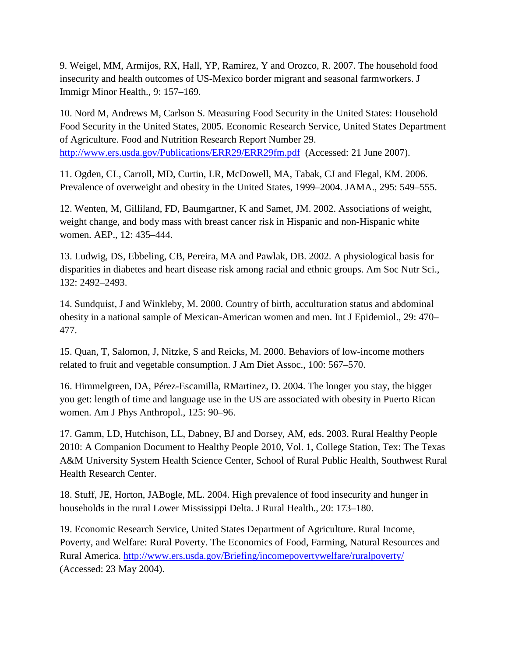9. Weigel, MM, Armijos, RX, Hall, YP, Ramirez, Y and Orozco, R. 2007. The household food insecurity and health outcomes of US-Mexico border migrant and seasonal farmworkers. J Immigr Minor Health., 9: 157–169.

10. Nord M, Andrews M, Carlson S. Measuring Food Security in the United States: Household Food Security in the United States, 2005. Economic Research Service, United States Department of Agriculture. Food and Nutrition Research Report Number 29. <http://www.ers.usda.gov/Publications/ERR29/ERR29fm.pdf> (Accessed: 21 June 2007).

11. Ogden, CL, Carroll, MD, Curtin, LR, McDowell, MA, Tabak, CJ and Flegal, KM. 2006. Prevalence of overweight and obesity in the United States, 1999–2004. JAMA., 295: 549–555.

12. Wenten, M, Gilliland, FD, Baumgartner, K and Samet, JM. 2002. Associations of weight, weight change, and body mass with breast cancer risk in Hispanic and non-Hispanic white women. AEP., 12: 435–444.

13. Ludwig, DS, Ebbeling, CB, Pereira, MA and Pawlak, DB. 2002. A physiological basis for disparities in diabetes and heart disease risk among racial and ethnic groups. Am Soc Nutr Sci., 132: 2492–2493.

14. Sundquist, J and Winkleby, M. 2000. Country of birth, acculturation status and abdominal obesity in a national sample of Mexican-American women and men. Int J Epidemiol., 29: 470– 477.

15. Quan, T, Salomon, J, Nitzke, S and Reicks, M. 2000. Behaviors of low-income mothers related to fruit and vegetable consumption. J Am Diet Assoc., 100: 567–570.

16. Himmelgreen, DA, Pérez-Escamilla, RMartinez, D. 2004. The longer you stay, the bigger you get: length of time and language use in the US are associated with obesity in Puerto Rican women. Am J Phys Anthropol., 125: 90–96.

17. Gamm, LD, Hutchison, LL, Dabney, BJ and Dorsey, AM, eds. 2003. Rural Healthy People 2010: A Companion Document to Healthy People 2010, Vol. 1, College Station, Tex: The Texas A&M University System Health Science Center, School of Rural Public Health, Southwest Rural Health Research Center.

18. Stuff, JE, Horton, JABogle, ML. 2004. High prevalence of food insecurity and hunger in households in the rural Lower Mississippi Delta. J Rural Health., 20: 173–180.

19. Economic Research Service, United States Department of Agriculture. Rural Income, Poverty, and Welfare: Rural Poverty. The Economics of Food, Farming, Natural Resources and Rural America.<http://www.ers.usda.gov/Briefing/incomepovertywelfare/ruralpoverty/> (Accessed: 23 May 2004).